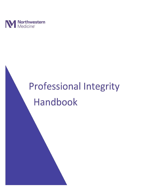

# Professional Integrity **Handbook**

 $V_{\rm 2}$  , and the set of the set of the set of the set of the set of the set of the set of the set of the set of the set of the set of the set of the set of the set of the set of the set of the set of the set of the set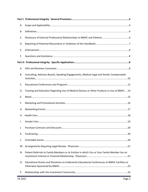| Α.        |                                                                                              |  |  |
|-----------|----------------------------------------------------------------------------------------------|--|--|
| <b>B.</b> |                                                                                              |  |  |
| C.        |                                                                                              |  |  |
| D.        |                                                                                              |  |  |
| Ε.        |                                                                                              |  |  |
| F.        |                                                                                              |  |  |
|           |                                                                                              |  |  |
| А.        |                                                                                              |  |  |
| <b>B.</b> | Consulting, Advisory Boards, Speaking Engagements, Medical-Legal and Similar Compensated     |  |  |
| C.        |                                                                                              |  |  |
| D.        | Training and Education Regarding Use of Medical Devices or Other Products in Use at NMHC  14 |  |  |
| Ε.        |                                                                                              |  |  |
| F.        |                                                                                              |  |  |
| G.        |                                                                                              |  |  |
| Η.        |                                                                                              |  |  |
| Ι.        |                                                                                              |  |  |
| J.        |                                                                                              |  |  |
| К.        |                                                                                              |  |  |
| L.        |                                                                                              |  |  |
| M.        |                                                                                              |  |  |
| N.        | Patient Referrals to Family Members or to Entities in which You or Your Family Member has an |  |  |
| 0.        | Educational Grants and Donations to Underwrite Educational Conferences at NMHC Facilities or |  |  |
| Ρ.        |                                                                                              |  |  |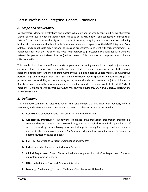# <span id="page-3-0"></span>**Part I: Professional Integrity: General Provisions**

## <span id="page-3-1"></span>*A. Scope and Applicability*

Northwestern Memorial HealthCare and entities wholly-owned or wholly-controlled by Northwestern Memorial HealthCare (each individually referred to as an "NMHC-entity," and collectively referred to as "NMHC") are committed to the highest standards of honesty, integrity, and fairness and to conducting business in compliance with all applicable federal and state laws, regulations, the NMHC Integrated Code of Ethics, and all applicable organizational policies and procedures. Consistent with this commitment, this Handbook sets forth the "Rules of the Road" with respect to professional relationships with Vendors, Referral Recipients, and Referral Sources (defined below). This Handbook also explains how to handle gifts from patients.

This Handbook applies to you if you are NMHC personnel (including an employed physician); volunteer; corporate officer; director; Board committee member; student trainee; temporary agency staff or leased personnel; house staff; and medical staff member who (a) holds a paid or unpaid medical administrative position (e.g., Clinical Department Chair, Section and Division Chief, or special care unit director), (b) has procurement responsibility or the authority to recommend such procurement, or (c) participates on Boards or Board committees; or a person whose conduct is under the direct control of NMHC ("NMHC Personnel"). *Please note that some provisions only apply to physicians. If so, this is clearly stated in the title of the section.*

## <span id="page-3-2"></span>*B. Definitions*

This Handbook summarizes rules that govern the relationships that *you* have with *Vendors*, *Referral Recipients*, and *Referral Sources*. Definitions of these and other terms are set forth below.

- **1. ACCME:** Accreditation Council for Continuing Medical Education.
- **2. Applicable Manufacturer:** An entity that is engaged in the production, preparation, propagation, compounding, or conversion of a covered drug, device, biological, or medical supply, but not if such covered drug, device, biological or medical supply is solely for use by or within the entity itself or by the entity's own patients. An Applicable Manufacturer would include, for example, a pharmaceutical or device company.
- **3. CCI:** NMHC's Office of Corporate Compliance and Integrity.
- **4. CMS**: Centers for Medicare and Medicaid Services.
- **5. Clinical Department Chair**: Those individuals designated by NMHC as Department Chairs or equivalent physician leaders.
- **6. FDA:** United States Food and Drug Administration.
- **7. Feinberg:** The Feinberg School of Medicine of Northwestern University.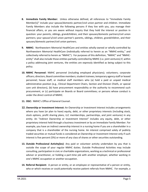- **8. Immediate Family Member:** Unless otherwise defined, all references to "Immediate Family Member[s]" include your spouse/domestic partner/civil union partner and children. Immediate Family Members also include the following persons if they live with you, you manage their financial affairs, or you are aware without inquiry that they hold the interest or position in question: your parents, siblings, grandchildren, and their spouses/domestic partners/civil union partners; your spouse's/civil union partner's parents, siblings, children, grandchildren, and their spouses/domestic partner/civil union partners.
- **9. NMHC:** Northwestern Memorial HealthCare and entities wholly-owned or wholly-controlled by Northwestern Memorial HealthCare (individually referred to herein as an "NMHC-entity," and collectively referred to herein as "NMHC"). For purposes of this definition, "NMHC" and "NMHCentity" shall also include those entities partially-controlled by NMHC (i.e. joint ventures) if, within a policy addressing joint ventures, the entities are expressly identified as being subject to this policy.
- **10. NMHC Personnel:** NMHC personnel (including employed physicians); volunteers; corporate officers; directors; Board committee members; student trainees; temporary agency staff or leased personnel; house staff; or medical staff members who (a) hold a paid or unpaid medical administrative position (e.g., Clinical Department Chairs, Section and Division Chiefs, or special care unit directors), (b) have procurement responsibility or the authority to recommend such procurement, or (c) participate on Boards or Board committees; or persons whose conduct is under the direct control of NMHC.
- **11. OGC:** NMHC's Office of General Counsel.
- **12. Ownership or Investment Interest:** An Ownership or Investment Interest includes arrangements where you have (or plan to have) equity, debt, or other proprietary interests (including stock, stock options, profit sharing plans, LLC memberships, partnerships, and joint ventures) in any [entity](javascript:openDefWindow(30)). An "indirect Ownership or Investment Interest" includes any equity, debt, or other proprietary interest held through a business investment or by an [Immediate Family Member](javascript:openDefWindow(40)). For example, you have an indirect ownership interest in a nursing home if you are a shareholder in a company that is a shareholder of the nursing home. An interest comprised solely of publicly traded securities or mutual funds is considered an Ownership or Investment Interest only if such interest is five percent (5%) or more of any class of shares or other securities outstanding.
- **13. Outside Professional Activity(ies)**: Any paid or volunteer activity undertaken by you that is outside the scope of your regular NMHC duties. Outside Professional Activities may include consulting, participation in civic or charitable organizations, working as a technical or professional advisor or practitioner, or holding a part-time job with another employer, whether working in one's NMHC occupation or another occupation.
- **14. Referral Recipient:** A person or entity, or an employee or representative of a person or entity, who or which receives or could potentially receive patient referrals from NMHC. For example, a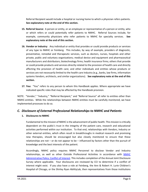Referral Recipient would include a hospital or nursing home to which a physician refers patients. **See explanatory note at the end of this section.**

- **15. Referral Source:** A person or entity, or an employee or representative of a person or entity, who or which refers or could potentially refer patients to NMHC. Referral Sources include, for example, community physicians who refer patients to NMHC for specialty services. **See explanatory note at the end of this section.**
- **16. Vendor or Industry:** Any individual or entity that provides or could provide products or services of any type to NMHC or Feinberg. This includes, by way of example, providers of diagnostic, preventative, remedial and therapeutic services, such as doctors, nurses, hospitals and other private, public and voluntary organizations; medical device and equipment and pharmaceutical manufacturers and distributors; biotechnology firms; health insurance firms; others that provide or could provide products and services directly related to the provision of health care and directly affecting the provision of health care; and other individuals and entities whose products or services are not necessarily limited to the health care Industry (e.g., banks, law firms, information systems Vendors, architects, and similar organizations). **See explanatory note at the end of this section.**
- **17. You:** "You" refers to any person to whom this Handbook applies. Where appropriate we have indicated specific roles that may be affected by the Handbook provision.

NOTE: "Vendor," "Industry," "Referral Recipient," and "Referral Source" all refer to entities other than NMHC-entities. While the relationships between NMHC-entities must be carefully monitored, we have implemented processes to do so.

# <span id="page-5-0"></span>*C. Disclosure of External Professional Relationships to NMHC and Patients*

#### **1. Disclosures to NMHC**

Fundamental to the mission of NMHC is the advancement of public health. This mission is critically dependent on the public's trust in the integrity of the patient care, research and educational activities performed within our institution. To that end, relationships with Vendors, Industry or other external entities, which often result in breakthroughs in medical research and promising new therapies, should be encouraged but also closely monitored to ensure that these relationships are not – or do not appear to be – influenced by factors other than the pursuit of knowledge and the best interests of the patient.

Accordingly, NMHC policy requires NMHC Personnel to disclose Vendor and Industry relationships, as well as other Outside Professional Activities in accordance with NMHC [Administrative Policy: Conflict of Interest](https://nm.ellucid.com/documents/view/4018). This includes completion of the Annual Joint Disclosure Survey where applicable. Your disclosures are reviewed by CCI to determine if a conflict of interest might exist. If you also have a role at Feinberg, the Ann & Robert H. Lurie Children's Hospital of Chicago, or the Shirley Ryan AbilityLab, then representatives from those institutions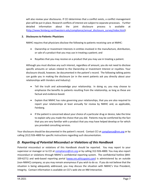will also review your disclosures. If CCI determines that a conflict exists, a conflict management plan will be put in place. Research conflicts of interest are subject to separate processes. Further detailed information about the joint disclosure process is available at [\(http://www.feinberg.northwestern.edu/compliance/annual\\_disclosure\\_survey/index.html\)](http://www.feinberg.northwestern.edu/compliance/annual_disclosure_survey/index.html).

#### **2. Disclosures to Patients: Physicians**

NMHC requires that physicians disclose the following to patients receiving care at NMHC:

- Ownership or Investment Interests in entities involved in the manufacture, distribution, or sale of a product that you may use in treating a patient; and
- Royalties that you may receive on a product that you may use in treating a patient.

Although you must disclose any such interest, regardless of amount, you do not need to disclose specific amounts or values related to the Ownership or Investment Interest or royalties. Your disclosure should, however, be documented in the patient's record. The following talking points can guide you in making the disclosure (or in the event patients ask you directly about your relationships with Vendors and Industry):

- Tell the truth and acknowledge your relationship. In doing so, you may choose to emphasize the benefits to patients resulting from the relationship, as long as these are factual and evidence-based.
- Explain that NMHC has rules governing your relationships, that you are also required to report your relationships at least annually for review by NMHC and, as applicable, Feinberg.
- If the patient is concerned about your choice of a particular drug or device, take the time to explain why you made the choice that you did. Patients may be comforted by the fact that you are very familiar with a product that you may have helped develop or for which you provided consulting services.

Your disclosure should be documented in the patient's record. Contact CCI at [compliance@nm.org](mailto:compliance@nm.org) or by calling (312) 926-4800 for specific instructions regarding such documentation.

# <span id="page-6-0"></span>*D. Reporting of Potential Misconduct or Violations of this Handbook*

Potential misconduct or violations of this Handbook should be reported. You may report to your supervisor or manager or to CCI at [compliance@nm.org](mailto:compliance@nm.org) or by calling 312-926-4800. You may also report misconduct or violations through NMHC's confidential reporting system. The confidential hotline (844- 339-6271) and web-based reporting portal ([www.nm.ethicspoint.com](http://www.nm.ethicspoint.com/)) is administered by an outside (non-NMHC) company, so you may remain anonymous if you wish to do so. If you do not believe that the situation is being adequately addressed, you may discuss the situation with NMHC's Vice President, Integrity. Contact information is available on CCI's web site on NM Interactive.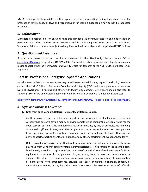NMHC policy prohibits retaliatory action against anyone for reporting or inquiring about potential breaches of NMHC policy or laws and regulations or for seeking guidance on how to handle suspected breaches.

## <span id="page-7-0"></span>*E. Enforcement*

Managers are responsible for ensuring that this Handbook is communicated to and understood by personnel and others in their respective areas and for enforcing the provisions of this Handbook. Violations of this Handbook are subject to disciplinary action in accordance with applicable NMHC policies.

## <span id="page-7-1"></span>*F. Questions and Assistance*

If you have questions about the items discussed in this Handbook, please contact CCI at [compliance@nm.org](mailto:compliance@nm.org) or by calling 312-926-4800. For questions about professional integrity in research, please contact either the Northwestern University Office for Research or the NMHC Office of Research, as applicable.

# <span id="page-7-2"></span>**Part II: Professional Integrity: Specific Applications**

Not all scenarios that you may encounter may be addressed in the following pages. You should, therefore, contact the NMHC Office of Corporate Compliance & Integrity ("CCI") with any questions or concerns. **Note to Physicians:** Physicians and others with faculty appointments at Feinberg should also refer to Feinberg's Disclosure and Professional Integrity Policy, which is available at the following address:

http://www.feinberg.northwestern.edu/compliance/documents/2017 feinberg disc\_integ\_policy1.pdf.

# <span id="page-7-3"></span>*A. Gifts and Business Courtesies*

#### **1. Gifts from or to Vendors, Referral Recipients, or Referral Sources**

A gift or business courtesy includes any good, service, or other item of value given to a person without that person's paying money or giving something of comparable or equal value for the good, service, or item. Gifts and business courtesies include, by way of example, the following: cash; checks; gift certificates; securities; property; favors; prizes; raffle items; services; personal travel; personal discounts; supplies; equipment; referrals; employment; food; attendance at plays, concerts, sporting events, golf outings; or any other entertainment events or hospitality.

Unless provided otherwise in this Handbook, you may not accept gifts or business courtesies of any value from Vendors/Industry or from Referral Recipients. This prohibition includes the items listed above, as well as acceptance of personal use of a Vendor's or Referral Recipient's facilities, equipment, or vacation home; personal trips, vacations, hotel or resort accommodations; *de minimus* office items (e.g., pens, notepads, mugs, calendars); birthday or other gifts in recognition of a life event, floral arrangements, artwork, golf balls, or tickets to sporting, concert, or entertainment events; or any item that takes into account the volume or value of referrals,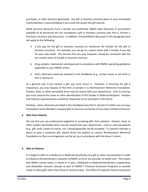purchases, or other business generated. Any gift or business courtesy given to your Immediate Family Member is also prohibited if you could not accept the gift directly.

While personal discounts from a Vendor are prohibited, NMHC-wide discounts or promotions available to all personnel are not considered a gift or business courtesy (see Part II, Section J, Purchase Contracts and Discounts). In addition, the prohibition discussed in this paragraph does not apply to the following:

- if you pay for the gift or business courtesy (or reimburse the Vendor for the gift or business courtesy). For example, you can go to a sports event with a Vendor if you pay for your own ticket. The amount that you pay, however, should be consistent with the fair market value of the gift or business courtesy;
- drug samples, maintained and dispensed in accordance with NMHC operating guidelines applicable to your NMHC-entity;
- items otherwise expressly allowed in this Handbook (e.g., certain meals as set forth in Part II, Section E).

As a general rule, if you receive a gift, you must return it. However, if returning the gift is impractical, you may dispose of the item or donate it to Northwestern Memorial Foundation. Flowers, food, or other perishable items may be shared with your department. Prior to sharing, you must remove the name or other identification of the Vendor or Referral Recipient. Vendors and Industry representatives should be requested not to send gifts in the future.

Similarly, unless otherwise provided in this Handbook (see Part II, Section F) neither you nor your Immediate Family Members may give gifts or business courtesies of any value to Referral Sources.

#### **2. Gifts from Patients**

We ask that you use professional judgment in accepting gifts from patients. Flowers, food, or other modest perishable items may be shared with your department. Cash or cash equivalents (e.g., gift cards, tickets to events, etc.) should generally not be accepted. If a patient indicates a desire to give a monetary gift, please direct the patient to contact Northwestern Memorial Foundation so that an arrangement can be set up in accordance with the donor's intent.

#### **3. Gifts to Patients**

It is illegal to offer to a Medicare or Medicaid beneficiary any gift or other remuneration in order to influence the beneficiary's selection of NMHC as his or her provider of health care. This means that NMHC cannot waive, in whole or in part, a Medicare or Medicaid beneficiary's copayments and deductible amounts (except as part of NMHC's Financial Assistance Program) or provide meals or other gifts other than those of nominal value. The Office of Inspector General interprets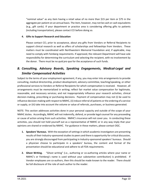"nominal value" as any item having a retail value of no more than \$15 per item or \$75 in the aggregate per patient on an annual basis. The item, however, may not be cash or cash equivalents (e.g., gift cards). If your department or practice area is considering offering gifts to patients (including transportation), please contact CCI before doing so.

#### **4. Gifts to Support Research and Education**

Please contact CCI, prior to acceptance, about any gifts from Vendors or Referral Recipients to support clinical research as well as offers of scholarships and fellowships from Vendors. These matters must be coordinated with Northwestern Memorial Foundation and, if applicable, may need to comply with Feinberg requirements. If approved, the relevant Department will have sole responsibility for determining the curriculum and selecting the recipient, with no involvement by the donor. There must be no *quid pro quo* for the acceptance of such funds.

# <span id="page-9-0"></span>*B. Consulting, Advisory Boards, Speaking Engagements, Medical-Legal and Similar Compensated Activities*

Subject to the terms of your employment agreement, if any, you may enter into arrangements to provide consulting, medical directorship, product development, advisory committee, teaching/speaking, or other professional services to Vendors or Referral Recipients for which compensation is received. However, all arrangements must be memorialized in writing; reflect fair market value compensation for legitimate, reasonable, and necessary services; and not inappropriately influence your research activities, clinical decision-making, prescribing or purchasing decisions. Payment of compensation may not (i) be used to influence decision-making with respect to NMHC, (ii) induce referral of patients or the ordering of a service or supply, or (iii) take into account the volume or value of referrals, purchases, or business generated.

NOTE: This section addresses activities done in your personal capacity and outside of the scope of your NMHC duties. Accordingly, NMHC will not indemnify, defend, or provide legal counsel for any proceeding or cause of action arising from such activities. NMHC's insurance will not cover you. In conducting these activities, you should not hold yourself out as a representative of NMHC or in any way imply that your opinions are shared or endorsed by NMHC. For guidance in these matters, please contact OGC.

- **1. Speakers' Bureaus.** With the exception of settings in which academic investigators are presenting results of their Industry-sponsored studies to peers and there is opportunity for critical discussion, you are strongly discouraged from participating in Industry-sponsored speakers' bureaus. Should a physician choose to participate in a speakers' bureau, the content and format of the presentation should be educational and adhere to all FDA requirements.
- **2. Ghost Writing.** "Ghost writing" (i.e., authoring or co-authoring articles where your name or NMHC's or Feinberg's name is used without your substantive contribution) is prohibited. If Vendor employees are co-authors, then this should be made known to the reader. There should be full disclosure of the role of each author to the reader.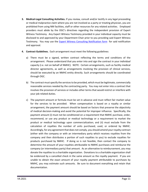- **3. Medical-Legal Consulting Activities.** If you review, consult and/or testify in any legal proceeding or medical malpractice claim where you are not involved as a party or treating physician, you are prohibited from using NM facilities, staff or other resources for any related activities. Employed providers must abide by the OGC's directives regarding the independent provision of Expert Witness Testimony. Any Expert Witness Testimony provided in your individual capacity must be disclosed to and approved by your Department Chair prior to you providing said Expert Witness Testimony. You may use the [Expert Witness Consulting Notification form](http://nmi.nmh.org/wcs/blob/1390857965452/nmg-expert-witness-consulting-notification-form.pdf) for said notification and approval.
- **4. Contract Guidelines.** Each arrangement must meet the following guidelines:
	- a) There must be a signed, written contract reflecting the terms and conditions of the arrangement. Please understand that you enter into and sign the contract in your *individual* capacity (i.e. not on behalf of NMHC). NOTE: Certain arrangements, such as facility medical director agreements, as well as arrangements involving the provision of clinical services, should be executed by an NMHC-entity directly. Such arrangements should be coordinated through OGC.
	- b) The contract must specify the services to be provided, which must be legitimate, commercially reasonable services needed by the contracting party. You may not enter into a contract that involves the provision of services or includes other terms that would restrict or interfere with your job-related duties.
	- c) The payment amount or formula must be set in advance and must reflect fair market value for the services to be provided. When compensation is based on a royalty or similar arrangement, the payment amount should be based on factors that preserve the objectivity of medical decision-making and avoid the potential for improper influence. Specifically, the payment amount (i) must not be conditioned on a requirement that NMHC purchase, order, recommend, or use any product or medical technology or a requirement to market the product or medical technology upon commercialization; and (ii) must exclude from the calculation of royalties the number of units purchased, used, or ordered by NMHC. Accordingly, for any agreement that does not comply, you should amend your royalty contract (either with the company or with an intermediary party which receives royalties from the company and then distributes a portion of such royalties to you) to exclude royalties for products purchased by NMHC. If doing so is not feasible, then contact the company to determine the amount of your royalties attributable to NMHC purchases and reimburse the company (or intermediary party) that amount. As an alternative to reimbursement, you may donate the royalties to a charitable organization. Donations to a charitable organization shall be evidenced by a cancelled check in the same amount as the royalty payment. If you are unable to obtain the exact amount of your royalty payment attributable to purchases by NMHC, you may estimate such amounts. Be sure to document everything and retain that documentation.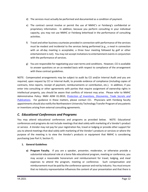- d) The services must actually be performed and documented as a condition of payment.
- e) The contract cannot involve or permit the use of NMHC's or Feinberg's confidential or proprietary information. In addition, because you perform consulting in your individual capacity, you may not use NMHC or Feinberg letterhead in the performance of consulting activities.
- f) Travel and other business courtesies provided in connection with performance of the services must be modest and incidental to the services being performed (e.g., a meal in connection with an all-day meeting is acceptable; a three hour meeting followed by golf or other entertainment is not). You may not accept invitations to entertainment events in conjunction with the performance of services.
- g) You are responsible for negotiating your own terms and conditions. However, CCI is available to answer questions on an as-needed basis with respect to compliance of the arrangement with these contract guidelines.

NOTE: Compensated arrangements may be subject to audit by CCI and/or Internal Audit and you are required, upon request by CCI or Internal Audit, to provide evidence of compliance (including copies of contracts, time reports, receipt of payment, reimbursements or contribution, etc.).In addition, if you enter into consulting or other agreements with parties that require assignment of ownership rights in intellectual property, you should be aware that conflicts of interest may arise. Please refer to NMHC Administrative Policy: NMH ADM 01.0010, *[Protection of Inventions, Discoveries, Trade Secrets and](https://nm.ellucid.com/documents/view/3577)  [Publications](https://nm.ellucid.com/documents/view/3577)*. For guidance in these matters, please contact CCI. Physicians with Feinberg faculty appointments should also notify the Northwestern University Technology Transfer Program of any patents or inventions arising from external consulting agreements.

# <span id="page-11-0"></span>*C. Educational Conferences and Programs*

You may attend educational conferences and programs as provided below. NOTE: Educational conferences and programs do not include meetings that deal solely with marketing of a Vendor's product or service. A Vendor may not pay for your registration fee, travel or lodging or provide other support for you to attend meetings that deal solely with marketing of the Vendor's products or services or where the purpose of the meeting is to view the Vendor's products or equipment that NMHC is considering purchasing (see Part II, Section F).

#### **1. General Guidelines**

**a) Program Faculty.** If you are a speaker, presenter, moderator, or otherwise provide a substantial educational role at a bona fide educational program, meeting or conference, you may accept a reasonable honorarium and reimbursement for travel, lodging, and meal expenses to attend the program, meeting or conference. Such compensation and reimbursement must be paid by the conference sponsor and not by Industry. You must ensure that no Industry representative influences the content of your presentation and that there is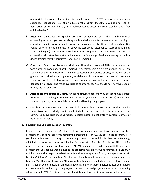appropriate disclosure of any financial ties to Industry. NOTE: Absent your playing a substantial educational role at an educational program, Industry may not offer you an honorarium and/or reimburse your travel expenses to encourage your attendance as a "key opinion leader."

- **b) Attendees.** Unless you are a speaker, presenter, or moderator at an educational conference or meeting or unless you are receiving medical device manufacturer-sponsored training or education on a device or product currently in active use at NMHC (see Part II, Section D), a Vendor or Referral Recipient may not cover the cost of your attendance (i.e. registration fees, travel or lodging) at educational conferences or programs. Certain meals provided in connection with attendance at an educational conference, professional meeting or medical device training may be permitted under Part II, Section E.
- **c) Conference-Related or Approved Meals and Receptions/Nominal Gifts.** You may accept food only as allowed under Part II, Section E. You may accept a gift from a Vendor or Referral Source provided in connection with a paid educational conference or program as long as the gift is of nominal value and is generally available to all conference attendees. For example, you may accept a cloth bag given to all registrants to carry conference materials or a pen donated by a Vendor and made available to all attendees. You should not, however, use or display the gift at NMHC.
- **d) Attendance by Spouses or Guests.** Under no circumstances may you accept reimbursement for transportation, lodging, or meals for the cost of your spouse or other guest(s) unless your spouse or guest(s) has a bona fide purpose for attending the program.
- **e) Location.** Conferences must be held in locations that are conducive to the effective transmission of knowledge, which could include, but are not limited to, a hotel or other commercially available meeting facility, medical institution, laboratory, corporate office, or other training facility.

#### **2. Physician and Clinical Education Programs**

Except as allowed under Part II, Section D, physicians should attend only those medical education programs that receive Industry funding if the program is (i) an ACCME-accredited program, (ii) if you have a Feinberg faculty appointment, a program sponsored by Feinberg or a Feinbergaffiliated institution *and* approved by the Feinberg Vice Dean for Regulatory Affairs, (iii) a professional society meeting that follows ACCME standards, or (iv) a non-ACCME-accredited program that you believe would advance the academic mission of your department or division, in which case you shall explain the basis for this and receive approval from your Department Chair, Division Chief, or Center/Institute Director and, if you have a Feinberg faculty appointment, the Feinberg Vice Dean for Regulatory Affairs prior to attendance. Similarly, except as allowed under Part II Section D, non-physician clinicians should attend only those medical education programs that receive Industry funding if the program is (i) an accredited program and/or offers continuing education units ("CEU"), (ii) a professional society meeting, or (iii) a program that you believe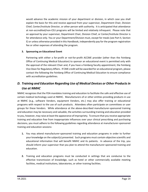would advance the academic mission of your department or division, in which case you shall explain the basis for this and receive approval from your supervisor, Department Chair, Division Chief, Center/Institute Director, or other person with authority. It is anticipated that attendance at non-accredited/non-CEU programs will be limited and relatively infrequent. Please note that an approval by your supervisor, Department Chair, Division Chief, or Center/Institute Director is for attendance only. You or your Department/Division must, except for meals (see Part II, Section E) or unless otherwise provided in this Handbook, independently pay for the program registration fee or other expenses of attending the program.

#### **3. Sponsoring an Educational Event**

Partnering with either a for-profit or not-for-profit ACCME provider (other than the Feinberg Office of Continuing Medical Education) to sponsor an educational event is permitted only with the approval of the relevant Chair and, if you have a Feinberg faculty appointment, the Feinberg Vice Dean for Regulatory Affairs. If CME credit will be awarded for an educational program, please contact the following the Feinberg Office of Continuing Medical Education to ensure compliance with accreditation guidelines.

# <span id="page-13-0"></span>*D. Training and Education Regarding Use of Medical Devices or Other Products in Use at NMHC*

NMHC recognizes that the FDA mandates training and education to facilitate the safe and effective use of certain medical technology used at NMHC. Manufacturers of or other entities providing products in use at NMHC (e.g., software Vendors, equipment Vendors, etc.) may also offer training or educational programs with respect to the use of such products. Attendees often participate on committees or user groups for these Vendors. While attendance at the above-described manufacturer-sponsored training and education may be necessary and valuable, the activities surrounding training and education provided to you, however, may raise at least the appearance of impropriety. To ensure that you receive appropriate training and education free from inappropriate influences over your clinical prescribing and purchasing decisions, you must adhere to the following guidelines regarding attendance at manufacturer-sponsored training and education sessions:

- **1.** You may attend manufacturer-sponsored training and education programs in order to further your knowledge on the subject(s) presented. Such programs must contain objective scientific and educational information that will benefit NMHC and its patients. In advance of the trip, you should inform your supervisor that you plan to attend the manufacturer-sponsored training and education.
- **2.** Training and education programs must be conducted in settings that are conducive to the effective transmission of knowledge, such as hotel or other commercially available meeting facilities, medical institutions, laboratories, or other training facilities.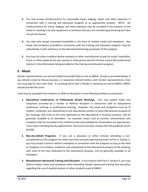- **3.** You may accept reimbursement for reasonable travel, lodging, meals, and other expenses in connection with a training and education program at an appropriate location. NOTE: No reimbursement for travel, lodging, and meal expenses may be accepted if the purpose of the travel or meeting is to view equipment or products that you are considering purchasing but have not yet purchased.
- **4.** You may only accept associated hospitality in the form of modest meals and receptions. Any meals and receptions provided in connection with the training and education program must be subordinate in time and focus to the educational/training purpose(s) of the program.
- **5.** You may not allow a medical device company or other manufacturer to pay for meals, hospitality, travel, or other expenses for your spouse or other guests who do not have a bona fide professional interest in the information being provided at the training and education program.

## <span id="page-14-0"></span>*E. Meals*

Vendor representatives are not permitted to provide food on-site at NMHC. Except as provided below, if you attend a meal to discuss business- or education-related matters with Vendor representatives, then you must pay for your own meal. If a working lunch with a Vendor is necessary on-site at NMHC, NMHC should provide the lunch.

Food may be accepted from Vendors or Referral Recipients in the following limited circumstances:

- **1. Educational Conferences or Professional Society Meetings.** You may attend meals and receptions provided by a Vendor or Referral Recipient in connection with an educational conference, training, or professional meeting. However, the meals and receptions must be (i) modest, incidental, and subordinate to the educational content or bona fide business purpose of the meeting, with most of the time dedicated to the educational or business purpose, and (ii) generally available to all attendees. For example, meals, such as lunches, refreshments, and receptions that are included in the conference fee and available for all attendees are appropriate. If you have a Feinberg faculty appointment, the event must also comply with the guidelines of the ACCME.
- **2. Non-Accredited Programs.** If you are a physician or other clinician attending a nonaccredited/non-CEU program for which you have received approval pursuant to Part II, Section C, you may accept a meal or attend a reception in connection with the program as long as the meal or reception is (i) modest, incidental, and subordinate to the educational purpose of the meeting, with most of the time dedicated to the educational purpose, and (ii) generally available to all attendees.
- **3. Manufacturer-Sponsored Training and Education.** In accordance with Part II, Section D, you may attend modest meals and receptions when attending Vendor-sponsored training and education regarding the use of medical devices or other products used at NMHC.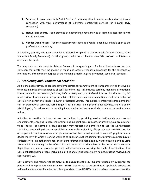- **4. Services**. In accordance with Part II, Section B, you may attend modest meals and receptions in connection with your performance of legitimate contractual services for Industry (e.g., consulting).
- **5. Networking Events.** Food provided at networking events may be accepted in accordance with Part II, Section G.
- **6. Vendor Open Houses.** You may accept modest food at a Vendor open house that is open to the professional community.

In addition, you may not allow a Vendor or Referral Recipient to pay for meals for your spouse, other Immediate Family Member(s), or other guest(s) who do not have a bona fide professional interest in attending the meal.

You may only provide meals to Referral Sources if doing so is part of a bona fide business purpose. However, the meals must be modest in value and occur at venues appropriate for the exchange of information. If the primary purpose of the meeting is marketing and promotion, see Part II, Section F.

# <span id="page-15-0"></span>*F. Marketing and Promotional Activities*

As it is the goal of NMHC to consistently demonstrate our commitment to transparency in all that we do, we must minimize the appearance of conflicts of interest. This includes carefully managing promotional interactions with our Vendors/Industry, Referral Recipients, and Referral Sources. For this reason, CCI must review all requests to engage in public relations and sales and marketing activities on behalf of NMHC or on behalf of a Vendor/Industry or Referral Source. This includes contractual agreements that call for promotional activities, verbal requests for participation in promotional activities, and use of any NMHC logo(s), formal name(s) or branding identity whether institutional, departmental or service line in nature.

Activities in question include, but are not limited to, providing service testimonials and product endorsements, engaging in collateral promotions like joint press releases, or providing our premises for video shoots. For example, a drug company may request our permission to use the Northwestern Medicine name and logo in an online ad that promotes the availability of its products at an NMHC hospital or outpatient location. Another example may involve the mutual interest of an NMG physician and a device maker with which he or she works to co-sponsor a patient seminar that promotes a procedure or clinical service. In another instance, one of our preferred MRI facilities may want to develop a video using NMHC clinicians touting the benefits of its services such that the video can be posted on its website. Regardless, any and all proposed promotional arrangements involving the public dissemination of an NMHC affiliated name or logo, including job titles and clinical department names, must be reviewed and approved by CCI.

NMHC reviews and monitors these activities to ensure that the NMHC name is used only by appropriate parties and in appropriate circumstances. NMHC also wants to ensure that all applicable policies are followed and to determine whether it is appropriate to use NMHC's or a physician's name in connection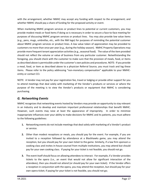with the arrangement; whether NMHC may accept any funding with respect to the arrangement; and whether NMHC should pay a share of funding for the proposed activity or event.

When marketing NMHC program services or product lines to potential or current customers, you may provide modest meals or food items if doing so is necessary in order to secure a face-to-face meeting for purposes of discussing NMHC program services or product lines. You may also provide low value items (e.g., pens, mugs, umbrellas, etc., with the NM logo) for purposes of reminding the potential customer about NMHC program services or product lines. A low value token of appreciation may be provided to customers no more than once per year (e.g., during the holiday season). NMHC Property Operations may provide more frequent tenant appreciation activities (e.g., seasonal food). The value of the item provided should not reflect the volume or value of business from any particular customer. Notwithstanding the foregoing, you should check with the customer to make sure that the provision of meals, food, or items as described above is permissible under the customer's own policies and procedures. NOTE: If you provide a meal, food, or item as described above to a physician Referral Source, you must track and log these items. Please refer to the policy addressing "non-monetary compensation" applicable to your NMHCentity or contact CCI.

NOTE:A Vendor may not pay for your registration fee, travel or lodging or provide other support for you to attend meetings that deal solely with marketing of the Vendor's products or services or where the purpose of the meeting is to view the Vendor's products or equipment that NMHC is considering purchasing.

## <span id="page-16-0"></span>*G. Networking Events*

NMHC recognizes that networking events hosted by Vendors may provide an opportunity to stay relevant in an Industry and to develop and maintain important professional relationships that benefit NMHC. However, such events may raise at least the appearance of impropriety. In order to minimize inappropriate influences over your ability to make decisions for NMHC and its patients, you must adhere to the following guidelines:

- **1.** Networking events do not include meetings that deal solely with marketing of a Vendor's product or service.
- **2.** Other than modest receptions or meals, you should pay for the event. For example, if you are invited to a reception followed by attendance at a Blackhawks game, you may attend the reception, but you should pay for your own ticket to the game. Similarly, if a law firm sponsors a cooking class and invites in-house counsel from multiple institutions, you may attend but should pay for your own cooking class. If paying for your ticket is not feasible, you should not go.
- **3.** The event itself should focus on allowing attendees to interact. For example, if a Vendor provides tickets to the opera (i.e., an event that would not allow for significant interaction of the attendees), then you should not attend (or should pay for your own ticket). If the Vendor offers a reception in conjunction with the opera, you may attend the reception, but should pay for your own opera ticket; if paying for your ticket is not feasible, you should not go;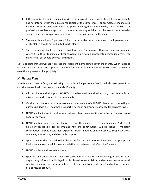- **4.** If the event is offered in conjunction with a professional conference, it should be subordinate to and not interfere with the educational portion of the conference. For example, attendance at a Vendor-sponsored wine and cheese reception following the conference day is fine. NOTE: If the professional conference sponsor provides a networking activity (i.e., the event is not provided solely by a Vendor) as part of a conference, you may participate in the event;
- **5.** The event should be an "open event" (i.e., to all attendees at a conference, to multiple customers or clients). It should not be limited to NM alone;
- **6.** The environment should be conducive to interaction. For example, attendance at a sporting event where it is difficult to mingle or hear conversation is not an appropriate networking event. You may attend, but should buy your own ticket.

NMHC expects that you will apply professional judgment in attending networking events. When in doubt, you must take a conservative approach and look for another way to network. NMHC seeks to minimize even the appearance of impropriety.

### <span id="page-17-0"></span>*H. Health Fairs*

In reference to health fairs, the following standards will apply to any Vendor which participates in or contributes to a health fair hosted by an NMHC entity:

- **1.** All contributions shall support NMHC's charitable mission and values and, consistent with this mission, support outreach to the community.
- **2.** Vendor contributions must be separate and independent of all NMHC clinical decision-making or purchasing decisions—health fair support is never an appropriate exchange for business favors.
- **3.** NMHC shall not accept contributions that are offered in connection with the purchase or sale of goods or services.
- **4.** NMHC shall use monetary contributions to cover the expenses of the health fair, and NMHC shall be solely responsible for determining how the contributions will be spent. If monetary contributions exceed health fair expenses, excess amounts shall be used to support NMHC's academic, educational, and charitable purposes.
- **5.** Sponsor names shall be disclosed at the health fair and in promotional materials. As appropriate, health fair speakers shall disclose any relationship between NMHC and the Sponsor.
- **6.** NMHC shall not endorse any Sponsor.
- **7.** Sponsors and other Vendors may also participate in a health fair by hosting a table or other display. Any information displayed or distributed to health fair attendees must relate to health care (i.e. condition-specific information, treatment, healthy lifestyles, etc.) and not focus on sales of a particular product.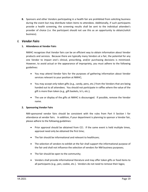**8.** Sponsors and other Vendors participating in a health fair are prohibited from soliciting business during the event but may distribute token items to attendees. Additionally, if such participants provide a health screening, the screening results shall be sent to the individual attendee's provider of choice (i.e. the participant should not use this as an opportunity to obtain/solicit business).

#### <span id="page-18-0"></span>*I. Vendor Fairs*

#### **1. Attendance at Vendor Fairs**

NMHC recognizes that Vendor fairs can be an efficient way to obtain information about Vendor products and services. Because there are typically many Vendors at a fair, the potential for any one Vendor to impact one's clinical, prescribing, and/or purchasing decisions is minimized. However, to avoid actual or the appearance of impropriety, you must adhere to the following guidelines:

- You may attend Vendor fairs for the purposes of gathering information about Vendor services relevant to your position at NMHC;
- You may accept only token gifts (e.g., candy, pens, etc.) from the Vendors that are being handed out to all attendees. You should not participate in raffles where the value of the gift is more than token (e.g., gift baskets, tv's, etc.);
- The use or display of the gifts at NMHC is discouraged. If possible, remove the Vendor name.

#### **2. Sponsoring Vendor Fairs**

NM-sponsored vendor fairs should be consistent with the rules from Part II Section I for attendance at vendor fairs. In addition, if your department is planning to sponsor a Vendor fair, please adhere to the following guidelines:

- Prior approval should be obtained from CCI. If the same event is held multiple times, approval need only be obtained the first time;
- The fair should be informational and relevant to healthcare;
- The selection of vendors to exhibit at the fair shall support the informational purpose of the fair and shall not influence the selection of vendors for NM business purposes;
- The fair should be open to the community;
- Vendors shall provide informational literature and may offer token gifts or food items to all participants (e.g., pen, cookie, etc.). Vendors do not need to remove their logos;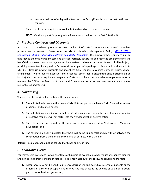Vendors shall not offer big raffle items such as TV or gift cards or prizes that participants can win.

There may be other requirements or limitations based on the space being used.

NOTE: Vendor support for purely educational events is addressed in Part 2 Section O.

## <span id="page-19-0"></span>*J. Purchase Contracts and Discounts*

All contracts to purchase goods or services on behalf of NMHC are subject to NMHC's standard procurement processes. Please refer to NMHC Materials Management Policy: [MM 01.7001,](https://nm.ellucid.com/documents/view/4132)  *[Contracting—Authorization, Administering and Market Evaluation](https://nm.ellucid.com/documents/view/4132)*. Discounts or other reductions in price that reduce the cost of patient care and are appropriately structured and reported are permissible and beneficial. However, certain arrangements characterized as discounts may be viewed as kickbacks (e.g., providing a free item for a physician's personal use as part of a package of discounted products sold to NMHC). Because pricing discounts and incentives from vendors may raise complex issues, vendor arrangements which involve incentives and discounts (other than a discounted price disclosed on an invoice), demonstration equipment usage, use of NMHC as a beta site, or similar arrangements must be reviewed by OGC or the Director, Sourcing and Procurement, or his or her designee, and may require review by CCI and/or OGC.

## <span id="page-19-1"></span>*K. Fundraising*

Vendors may be solicited for funds or gifts-in-kind where:

- **1.** The solicitation is made in the name of NMHC to support and advance NMHC's mission, values, programs, and related needs;
- **2.** The solicitation clearly indicates that the Vendor's response is voluntary and that an affirmative or negative response will not factor into the Vendor selection determination;
- **3.** The solicitation is organized or otherwise overseen and sponsored by Northwestern Memorial Foundation; and
- **4.** The solicitation clearly indicates that there will be no link or relationship with or between the contribution from a Vendor and the volume of business with a Vendor.

Referral Recipients should not be solicited for funds or gifts-in-kind.

## <span id="page-19-2"></span>*L. Charitable Events*

You may accept invitations to *local* charitable or fundraising events (e.g., charity auctions, benefit dinners, and golf outings) from Vendors or Referral Recipients where *all* of the following conditions are met:

**1.** Acceptance may not be used to influence decision-making, to induce referral of patients or the ordering of a service or supply, and cannot take into account the volume or value of referrals, purchases, or business generated;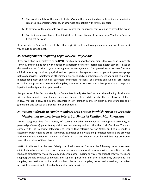- **2.** The event is solely for the benefit of NMHC or another bona fide charitable entity whose mission is related to, complementary to, or otherwise compatible with NMHC's mission;
- **3.** In advance of the charitable event, you inform your supervisor that you plan to attend the event;
- **4.** You limit your acceptance of such invitations to one (1) event from any single Vendor or Referral Recipient per year.

If the Vendor or Referral Recipient also offers a gift (in additional to any meal or other event program), you should decline the gift.

## <span id="page-20-0"></span>*M. Arrangements Requiring Legal Review: Physicians*

If you are a physician employed by an NMHC entity, any financial arrangements that you or an Immediate Family Member might have with entities that perform or bill for "designated health services" must be discussed with OGC prior to your entering into the arrangement. "Designated health services" include clinical laboratory services; physical and occupational therapy services; outpatient speech-language pathology services; radiology and other imaging services; radiation therapy services and supplies; durable medical equipment and supplies; parenteral and enteral nutrients, equipment, and supplies; prosthetics, orthotics, and prosthetic devices and supplies; home health services; outpatient prescription drugs; and inpatient and outpatient hospital services.

 For purposes of this Section M only, an "Immediate Family Member" includes the following: husband or wife; birth or adoptive parent, child, or sibling; stepparent, stepchild, stepbrother, or stepsister; fatherin-law, mother-in law, son-in-law, daughter-in-law, brother-in-law, or sister-in-law; grandparent or grandchild; and spouse of a grandparent or grandchild.

# <span id="page-20-1"></span>*N. Patient Referrals to Family Members or to Entities in which You or Your Family Member has an Investment Interest or Financial Relationship: Physicians*

NMHC recognizes that, for a variety of reasons (including convenience, geographical proximity, or personal preference), patients may wish to seek care from providers other than NMHC-entities. You must comply with the following safeguards to ensure that referrals to non-NMHC-entities are made in accordance with legal and ethical standards. Examples of allowable and prohibited referrals are provided at the end of this Section N. In any case of referrals, patients should always be told that they are free to select the provider of their choice.

NOTE: In this section, the term "designated health services" include the following items or services: clinical laboratory services; physical therapy services; occupational therapy services; outpatient speechlanguage pathology services; radiology and certain other imaging services; radiation therapy services and supplies; durable medical equipment and supplies; parenteral and enteral nutrients, equipment, and supplies; prosthetics, orthotics, and prosthetic devices and supplies; home health services; outpatient prescription drugs; inpatient and outpatient hospital services.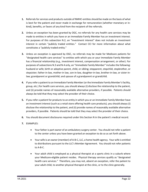- **1.** Referrals for services and products outside of NMHC-entities should be made on the basis of what is best for the patient and never made in exchange for remuneration (whether monetary or inkind), benefits, or favors of any kind from the recipient of the referrals.
- **2.** Unless an exception has been granted by OGC, no referrals for any health care services may be made to entities in which you have or an Immediate Family Member has an investment interest. For purposes of this subsection N.2, an "investment interest" does not include an investment interest in certain "publicly traded entities." Contact CCI for more information about what constitutes a "publicly traded entity."
- **3.** Unless an exception is approved by OGC, no referrals may be made for Medicare patients for "designated health care services" to entities with which you or your Immediate Family Member has a financial relationship (e.g., investment interest, compensation arrangement, or other). For purposes of subsections N.3 and N.4 only, an "Immediate Family Member" includes the following: husband or wife; birth or adoptive parent, child, or sibling; stepparent, stepchild, stepbrother, or stepsister; father-in-law, mother-in law, son-in-law, daughter-in-law, brother-in-law, or sister-inlaw; grandparent or grandchild; and spouse of a grandparent or grandchild.
- **4.** If you refer a patient to an Immediate Family Member (or the Immediate Family Member's facility, group, etc.) for health care services, you should always (i) disclose the relationship to the patient, and (ii) provide names of reasonably available alternative providers, if possible. Patients should always be told that they may select the provider of their choice.
- **5.** If you refer a patient for products to an entity in which you or an Immediate Family Member have an investment interest (such as a retail store offering health care products), you should always (i) disclose the relationship to the patient, and (ii) provide names of reasonably available alternative providers, if possible. Patients should be told that they may select the provider of their choice.
- **6.** You should document disclosures required under this Section N in the patient's medical record.
- **7.** EXAMPLES:
	- Your father is part owner of an ambulatory surgery center. You should not refer a patient to the center unless you have been granted an exception to do so as set forth above.
	- Your wife is an owner (member) of A-B-C, LLC, a home health agency. Your wife is entitled to distributions pursuant to the LLC's Member Agreement. You should not refer patients to A-B-C.
	- Your adult child is employed as a physical therapist at a sports clinic in a suburb where your Medicare-eligible patient resides. Physical therapy services qualify as "designated health care services." Therefore, you may not, *absent an exception*, refer the patient to your adult child, to another physical therapist at the clinic, or to the clinic generally.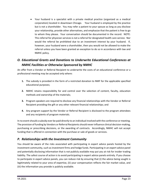Your husband is a specialist with a private medical practice (organized as a medical corporation) located in downtown Chicago. Your husband is employed by the practice but is not a shareholder. You may refer a patient to your spouse as long as you disclose your relationship, provide other alternatives, and emphasize that the patient is free to go to whom they please. Your conversation should be documented in the record. NOTE: This referral for physician services is not a referral for designated health care service. Nor would the referral be prohibited due to an investment interest by your husband. If, however, your husband were a shareholder, then you would not be allowed to make the referral unless you have been granted an exception to do so in accordance with law and NMHC policy.

# <span id="page-22-0"></span>*O. Educational Grants and Donations to Underwrite Educational Conferences at NMHC Facilities or Otherwise Sponsored by NMHC*

An offer from a Vendor or Referral Recipient to underwrite the costs of an educational conference or a professional meeting may be accepted only where:

- **1.** The subsidy is provided in the form of a restricted donation to NMF for the applicable specified educational purposes;
- **2.** NMHC retains responsibility for and control over the selection of content, faculty, education methods and ownership of the materials;
- **3.** Program speakers are required to disclose any financial relationships with the Vendor or Referral Recipient providing the gift or any other relevant financial relationships; and
- **4.** Any program support by the Vendor or Referral Recipient is disclosed to the program attendees and any recipients of program materials.

In no event should a subsidy ever be paid directly to an individual involved with the conference or meeting. The provision of funding by Vendors or Referral Recipients should never influence clinical decision-making, purchasing or prescribing decisions, or the awarding of contracts. Accordingly, NMHC will not accept funding that is offered in connection with the purchase or sale of goods or services.

## <span id="page-22-1"></span>*P. Relationships with the Investment Community*

You should be aware of the risks associated with participating in expert advice panels hosted by the investment community, such as investment firms and hedge funds. Participating in an expert advice panel and potentially disclosing information that is not publicly available may put you at risk for insider trading liability. The safest course of action is to avoid participating in expert advice panels entirely. If you choose to participate in expert advice panels, you can reduce risk by ensuring that (i) the advice being sought is legitimately related to your area of expertise, (ii) your compensation reflects the fair market value, and (iii) the information you provide is publicly available.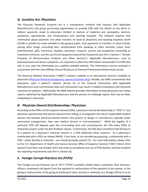## <span id="page-23-0"></span>*Q. Sunshine Act: Physicians*

The Physician Payments Sunshine Act is a transparency initiative that requires that Applicable Manufacturers and group purchasing organizations to provide CMS with the details of any direct or indirect payments made to physicians (limited to doctors of medicine and osteopathy, dentists, podiatrists, optometrists, and chiropractors) and teaching hospitals. The initiative requires that information about payments and other transfers of value to physicians and teaching hospitals worth \$10.00 or greater be made available to the general public. Such payments or transfers of value include, among other things, consulting fees, compensation from speaking or other activities, travel, food, entertainment, gifts, honoraria, royalties, education, research, current and prospective ownership or investment interests, and the use of trial equipment beyond the trial period (see Part II, Section I, "Vendor Provision of Demonstration Products and Other Services"). Applicable Manufacturers, such as pharmaceutical and device companies, are required to collect this information and provide it to CMS who will, in turn, post the information on a publicly available website. This information may be reviewed in conjunction with the Joint Affiliate Annual Disclosure of External Professional Relationships Survey.

The American Medical Association ("AMA") created a website as an educational resource available to physicians ([Physician financial transparency reports \(Sunshine Act\)\)](https://www.ama-assn.org/practice-management/medicare/physician-financial-transparency-reports-sunshine-act). Notably, the AMA recommends that physicians, upon a patient's request, discuss his or her financial interactions with Applicable Manufacturers and communicate how such interactions may result in medical innovations and improved outcomes for patients. Additionally, the AMA website provides information on how physicians can review reports submitted by Applicable Manufacturers and the process to challenge reports that may be false, misleading or inaccurate.

## <span id="page-23-1"></span>*R. Physician-Owned Distributorships: Physicians*

According to the Office of the Inspector General (OIG), a physician-owned distributorship or "POD" is "any physician-owned entity that derives revenue from selling, or arranging for the sale of, implantable medical devices and includes physician-owned entities that purport to design or manufacture, typically under contractual arrangements, their own medical devices or instrumentation." While the legality of a particular POD will depend upon the surrounding facts and circumstances, the OIG views PODs as inherently suspect under the Anti-Kickback statute. Furthermore, the OIG does not believe that disclosure to a patient of a physician's financial interest in a POD addresses these concerns. As a physician's relationship with a POD can impact NMHC, if you have, or are considering acquiring, a relationship with a POD – either directly or indirectly – you should promptly contact CCI. For more information, please refer to the U.S. Department of Health and Human Services Office of Inspector General ("OIG") March 2013 Special Fraud Alert; the October 2013 OIG study on prevalence and use of POD devices; and the Sunshine Act reporting requirements (see Part II, Section Q).

# *S. Foreign Corrupt Practices Act (FCPA)*

The Foreign Corrupt Practices Act of 1977 ("FCPA") prohibits United States companies, their directors, officers, employees and agents from the payment or authorization of the payment of any money, or the giving or authorization of the giving of anything of value, directly or indirectly, to a foreign official or to an